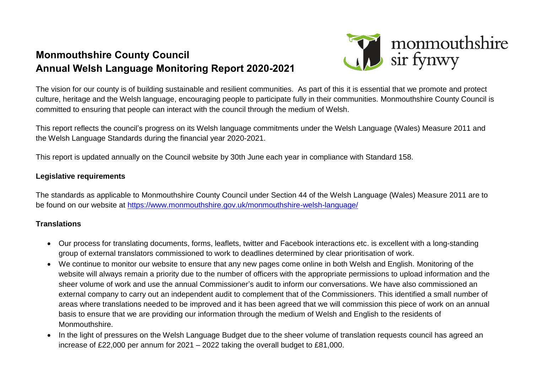# **Monmouthshire County Council Annual Welsh Language Monitoring Report 2020-2021**



The vision for our county is of building sustainable and resilient communities. As part of this it is essential that we promote and protect culture, heritage and the Welsh language, encouraging people to participate fully in their communities. Monmouthshire County Council is committed to ensuring that people can interact with the council through the medium of Welsh.

This report reflects the council's progress on its Welsh language commitments under the Welsh Language (Wales) Measure 2011 and the Welsh Language Standards during the financial year 2020-2021.

This report is updated annually on the Council website by 30th June each year in compliance with Standard 158.

## **Legislative requirements**

The standards as applicable to Monmouthshire County Council under Section 44 of the Welsh Language (Wales) Measure 2011 are to be found on our website at<https://www.monmouthshire.gov.uk/monmouthshire-welsh-language/>

## **Translations**

- Our process for translating documents, forms, leaflets, twitter and Facebook interactions etc. is excellent with a long-standing group of external translators commissioned to work to deadlines determined by clear prioritisation of work.
- We continue to monitor our website to ensure that any new pages come online in both Welsh and English. Monitoring of the website will always remain a priority due to the number of officers with the appropriate permissions to upload information and the sheer volume of work and use the annual Commissioner's audit to inform our conversations. We have also commissioned an external company to carry out an independent audit to complement that of the Commissioners. This identified a small number of areas where translations needed to be improved and it has been agreed that we will commission this piece of work on an annual basis to ensure that we are providing our information through the medium of Welsh and English to the residents of Monmouthshire.
- In the light of pressures on the Welsh Language Budget due to the sheer volume of translation requests council has agreed an increase of £22,000 per annum for 2021 – 2022 taking the overall budget to £81,000.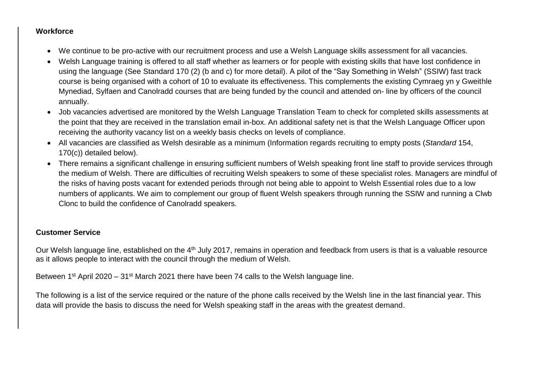#### **Workforce**

- We continue to be pro-active with our recruitment process and use a Welsh Language skills assessment for all vacancies.
- Welsh Language training is offered to all staff whether as learners or for people with existing skills that have lost confidence in using the language (See Standard 170 (2) (b and c) for more detail). A pilot of the "Say Something in Welsh" (SSIW) fast track course is being organised with a cohort of 10 to evaluate its effectiveness. This complements the existing Cymraeg yn y Gweithle Mynediad, Sylfaen and Canolradd courses that are being funded by the council and attended on- line by officers of the council annually.
- Job vacancies advertised are monitored by the Welsh Language Translation Team to check for completed skills assessments at the point that they are received in the translation email in-box. An additional safety net is that the Welsh Language Officer upon receiving the authority vacancy list on a weekly basis checks on levels of compliance.
- All vacancies are classified as Welsh desirable as a minimum (Information regards recruiting to empty posts (*Standard* 154, 170(c)) detailed below).
- There remains a significant challenge in ensuring sufficient numbers of Welsh speaking front line staff to provide services through the medium of Welsh. There are difficulties of recruiting Welsh speakers to some of these specialist roles. Managers are mindful of the risks of having posts vacant for extended periods through not being able to appoint to Welsh Essential roles due to a low numbers of applicants. We aim to complement our group of fluent Welsh speakers through running the SSIW and running a Clwb Clonc to build the confidence of Canolradd speakers.

## **Customer Service**

Our Welsh language line, established on the 4<sup>th</sup> July 2017, remains in operation and feedback from users is that is a valuable resource as it allows people to interact with the council through the medium of Welsh.

Between 1<sup>st</sup> April 2020 – 31<sup>st</sup> March 2021 there have been 74 calls to the Welsh language line.

The following is a list of the service required or the nature of the phone calls received by the Welsh line in the last financial year. This data will provide the basis to discuss the need for Welsh speaking staff in the areas with the greatest demand.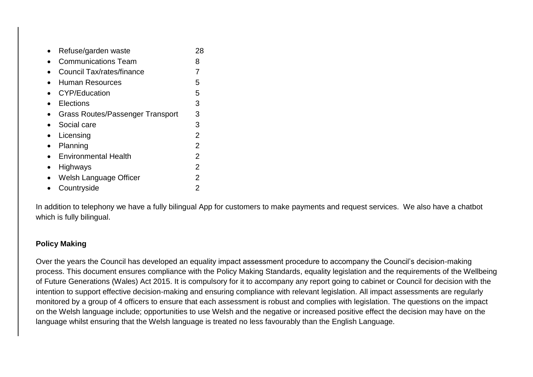| Refuse/garden waste                     | 28             |
|-----------------------------------------|----------------|
| <b>Communications Team</b>              | 8              |
| Council Tax/rates/finance               | 7              |
| <b>Human Resources</b>                  | 5              |
| <b>CYP/Education</b>                    | 5              |
| Elections                               | 3              |
| <b>Grass Routes/Passenger Transport</b> | 3              |
| Social care                             | 3              |
| Licensing                               | $\overline{2}$ |
| Planning                                | $\overline{2}$ |
| <b>Environmental Health</b>             | $\overline{2}$ |
| Highways                                | $\overline{2}$ |
| Welsh Language Officer                  | 2              |
| Countryside                             | 2              |

In addition to telephony we have a fully bilingual App for customers to make payments and request services. We also have a chatbot which is fully bilingual.

#### **Policy Making**

Over the years the Council has developed an equality impact assessment procedure to accompany the Council's decision-making process. This document ensures compliance with the Policy Making Standards, equality legislation and the requirements of the Wellbeing of Future Generations (Wales) Act 2015. It is compulsory for it to accompany any report going to cabinet or Council for decision with the intention to support effective decision-making and ensuring compliance with relevant legislation. All impact assessments are regularly monitored by a group of 4 officers to ensure that each assessment is robust and complies with legislation. The questions on the impact on the Welsh language include; opportunities to use Welsh and the negative or increased positive effect the decision may have on the language whilst ensuring that the Welsh language is treated no less favourably than the English Language.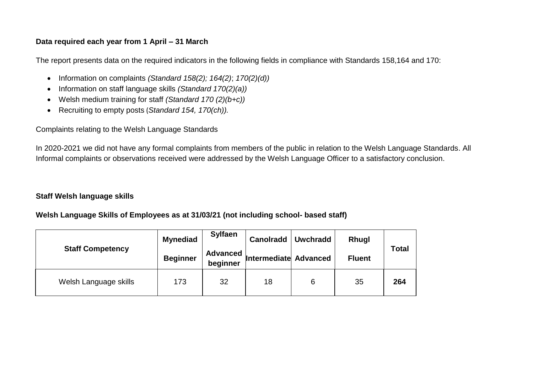## **Data required each year from 1 April – 31 March**

The report presents data on the required indicators in the following fields in compliance with Standards 158,164 and 170:

- Information on complaints *(Standard 158(2); 164(2)*; *170(2)(d))*
- Information on staff language skills *(Standard 170(2)(a))*
- Welsh medium training for staff *(Standard 170 (2)(b+c))*
- Recruiting to empty posts (*Standard 154, 170(ch)).*

Complaints relating to the Welsh Language Standards

In 2020-2021 we did not have any formal complaints from members of the public in relation to the Welsh Language Standards. All Informal complaints or observations received were addressed by the Welsh Language Officer to a satisfactory conclusion.

## **Staff Welsh language skills**

## **Welsh Language Skills of Employees as at 31/03/21 (not including school- based staff)**

|                         | <b>Mynediad</b> | <b>Sylfaen</b>              | Canolradd             | Uwchradd | <b>Rhugl</b>  |              |
|-------------------------|-----------------|-----------------------------|-----------------------|----------|---------------|--------------|
| <b>Staff Competency</b> | <b>Beginner</b> | <b>Advanced</b><br>beginner | Intermediate Advanced |          | <b>Fluent</b> | <b>Total</b> |
| Welsh Language skills   | 173             | 32                          | 18                    | 6        | 35            | 264          |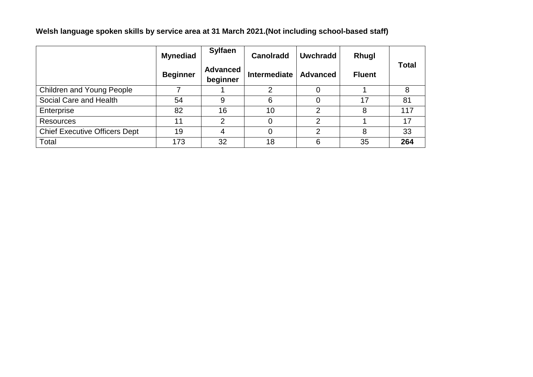**Welsh language spoken skills by service area at 31 March 2021.(Not including school-based staff)**

|                                      | <b>Mynediad</b> | <b>Sylfaen</b>              | <b>Canolradd</b> | <b>Uwchradd</b> | Rhugl         |              |  |
|--------------------------------------|-----------------|-----------------------------|------------------|-----------------|---------------|--------------|--|
|                                      | <b>Beginner</b> | <b>Advanced</b><br>beginner | Intermediate     | <b>Advanced</b> | <b>Fluent</b> | <b>Total</b> |  |
| <b>Children and Young People</b>     |                 |                             | っ                |                 |               |              |  |
| Social Care and Health               | 54              | 9                           | 6                | 0               | 17            | 81           |  |
| Enterprise                           | 82              | 16                          | 10               | 2               | 8             | 117          |  |
| <b>Resources</b>                     | 11              | $\mathcal{P}$               |                  | 2               |               | 17           |  |
| <b>Chief Executive Officers Dept</b> | 19              | 4                           |                  | $\overline{2}$  | 8             | 33           |  |
| Total                                | 173             | 32                          | 18               | 6               | 35            | 264          |  |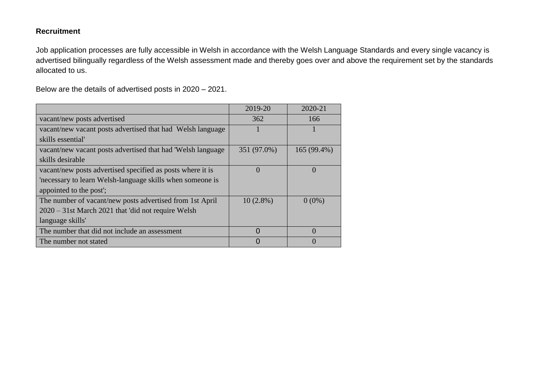## **Recruitment**

Job application processes are fully accessible in Welsh in accordance with the Welsh Language Standards and every single vacancy is advertised bilingually regardless of the Welsh assessment made and thereby goes over and above the requirement set by the standards allocated to us.

Below are the details of advertised posts in 2020 – 2021.

|                                                             | 2019-20     | 2020-21     |
|-------------------------------------------------------------|-------------|-------------|
| vacant/new posts advertised                                 | 362         | 166         |
| vacant/new vacant posts advertised that had Welsh language  |             |             |
| skills essential                                            |             |             |
| vacant/new vacant posts advertised that had 'Welsh language | 351 (97.0%) | 165 (99.4%) |
| skills desirable                                            |             |             |
| vacant/new posts advertised specified as posts where it is  | $\Omega$    | $\Omega$    |
| necessary to learn Welsh-language skills when someone is    |             |             |
| appointed to the post';                                     |             |             |
| The number of vacant/new posts advertised from 1st April    | $10(2.8\%)$ | $0(0\%)$    |
| $2020 - 31$ st March 2021 that 'did not require Welsh       |             |             |
| language skills'                                            |             |             |
| The number that did not include an assessment               | $\Omega$    | $\Omega$    |
| The number not stated                                       |             |             |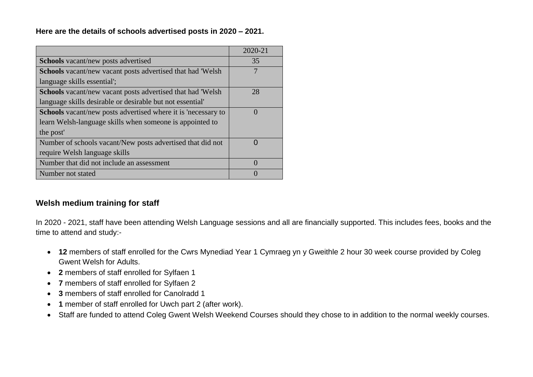**Here are the details of schools advertised posts in 2020 – 2021.** 

|                                                                      | 2020-21   |
|----------------------------------------------------------------------|-----------|
| <b>Schools</b> vacant/new posts advertised                           | 35        |
| Schools vacant/new vacant posts advertised that had 'Welsh           |           |
| language skills essential';                                          |           |
| <b>Schools</b> vacant/new vacant posts advertised that had 'Welsh    | 28        |
| language skills desirable or desirable but not essential             |           |
| <b>Schools</b> vacant/new posts advertised where it is 'necessary to | $\Omega$  |
| learn Welsh-language skills when someone is appointed to             |           |
| the post'                                                            |           |
| Number of schools vacant/New posts advertised that did not           | $\bigcap$ |
| require Welsh language skills                                        |           |
| Number that did not include an assessment                            | $\left($  |
| Number not stated                                                    |           |

# **Welsh medium training for staff**

In 2020 - 2021, staff have been attending Welsh Language sessions and all are financially supported. This includes fees, books and the time to attend and study:-

- **12** members of staff enrolled for the Cwrs Mynediad Year 1 Cymraeg yn y Gweithle 2 hour 30 week course provided by Coleg Gwent Welsh for Adults.
- **2** members of staff enrolled for Sylfaen 1
- **7** members of staff enrolled for Sylfaen 2
- **3** members of staff enrolled for Canolradd 1
- **1** member of staff enrolled for Uwch part 2 (after work).
- Staff are funded to attend Coleg Gwent Welsh Weekend Courses should they chose to in addition to the normal weekly courses.